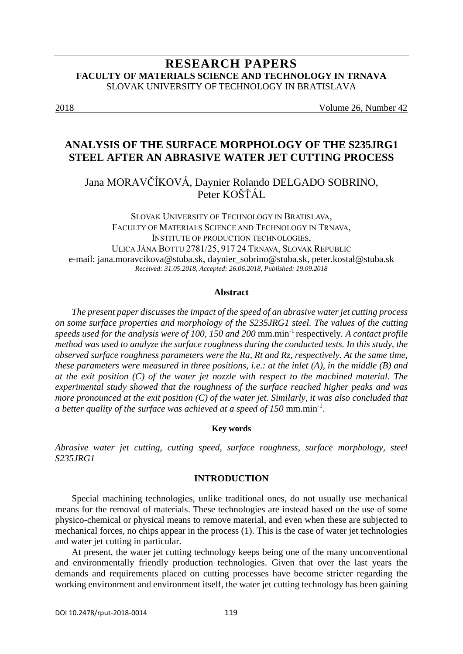# **RESEARCH PAPERS FACULTY OF MATERIALS SCIENCE AND TECHNOLOGY IN TRNAVA** SLOVAK UNIVERSITY OF TECHNOLOGY IN BRATISLAVA

2018 Volume 26, Number 42

# **ANALYSIS OF THE SURFACE MORPHOLOGY OF THE S235JRG1 STEEL AFTER AN ABRASIVE WATER JET CUTTING PROCESS**

Jana MORAVČÍKOVÁ, Daynier Rolando DELGADO SOBRINO, Peter KOŠŤÁL

SLOVAK UNIVERSITY OF TECHNOLOGY IN BRATISLAVA, FACULTY OF MATERIALS SCIENCE AND TECHNOLOGY IN TRNAVA, I[NSTITUTE OF P](http://www.mtf.stuba.sk/english/institutes/institute-of-safety-and-environmental-engineering.html?page_id=4219)RODUCTION TECHNOLOGIES, ULICA JÁNA BOTTU 2781/25, 917 24 TRNAVA, SLOVAK REPUBLIC e-mail: jana.moravcikova@stuba.sk, daynier\_sobrino@stuba.sk, peter.kostal@stuba.sk *Received: 31.05.2018, Accepted: 26.06.2018, Published: 19.09.2018*

#### **Abstract**

*The present paper discusses the impact of the speed of an abrasive water jet cutting process on some surface properties and morphology of the S235JRG1 steel. The values of the cutting speeds used for the analysis were of 100, 150 and 200* mm.min-1 respectively*. A contact profile method was used to analyze the surface roughness during the conducted tests. In this study, the observed surface roughness parameters were the Ra, Rt and Rz, respectively. At the same time, these parameters were measured in three positions, i.e.: at the inlet (A), in the middle (B) and at the exit position (C) of the water jet nozzle with respect to the machined material. The experimental study showed that the roughness of the surface reached higher peaks and was more pronounced at the exit position (C) of the water jet. Similarly, it was also concluded that a better quality of the surface was achieved at a speed of 150* mm.min-1 .

#### **Key words**

*Abrasive water jet cutting, cutting speed, surface roughness, surface morphology, steel S235JRG1*

#### **INTRODUCTION**

Special machining technologies, unlike traditional ones, do not usually use mechanical means for the removal of materials. These technologies are instead based on the use of some physico-chemical or physical means to remove material, and even when these are subjected to mechanical forces, no chips appear in the process (1). This is the case of water jet technologies and water jet cutting in particular.

At present, the water jet cutting technology keeps being one of the many unconventional and environmentally friendly production technologies. Given that over the last years the demands and requirements placed on cutting processes have become stricter regarding the working environment and environment itself, the water jet cutting technology has been gaining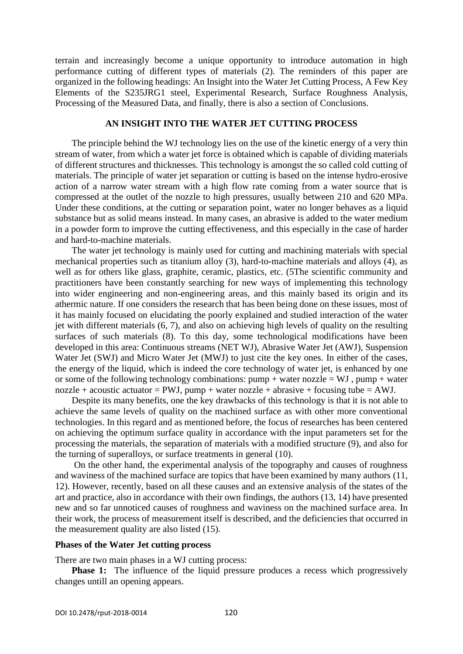terrain and increasingly become a unique opportunity to introduce automation in high performance cutting of different types of materials (2). The reminders of this paper are organized in the following headings: An Insight into the Water Jet Cutting Process, A Few Key Elements of the S235JRG1 steel, Experimental Research, Surface Roughness Analysis, Processing of the Measured Data, and finally, there is also a section of Conclusions.

#### **AN INSIGHT INTO THE WATER JET CUTTING PROCESS**

The principle behind the WJ technology lies on the use of the kinetic energy of a very thin stream of water, from which a water jet force is obtained which is capable of dividing materials of different structures and thicknesses. This technology is amongst the so called cold cutting of materials. The principle of water jet separation or cutting is based on the intense hydro-erosive action of a narrow water stream with a high flow rate coming from a water source that is compressed at the outlet of the nozzle to high pressures, usually between 210 and 620 MPa. Under these conditions, at the cutting or separation point, water no longer behaves as a liquid substance but as solid means instead. In many cases, an abrasive is added to the water medium in a powder form to improve the cutting effectiveness, and this especially in the case of harder and hard-to-machine materials.

The water jet technology is mainly used for cutting and machining materials with special mechanical properties such as titanium alloy (3), hard-to-machine materials and alloys (4), as well as for others like glass, graphite, ceramic, plastics, etc. (5The scientific community and practitioners have been constantly searching for new ways of implementing this technology into wider engineering and non-engineering areas, and this mainly based its origin and its athermic nature. If one considers the research that has been being done on these issues, most of it has mainly focused on elucidating the poorly explained and studied interaction of the water jet with different materials (6, 7), and also on achieving high levels of quality on the resulting surfaces of such materials (8). To this day, some technological modifications have been developed in this area: Continuous streams (NET WJ), Abrasive Water Jet (AWJ), Suspension Water Jet (SWJ) and Micro Water Jet (MWJ) to just cite the key ones. In either of the cases, the energy of the liquid, which is indeed the core technology of water jet, is enhanced by one or some of the following technology combinations:  $pump + water$  nozzle = WJ,  $pump + water$ nozzle + acoustic actuator = PWJ, pump + water nozzle + abrasive + focusing tube = AWJ.

Despite its many benefits, one the key drawbacks of this technology is that it is not able to achieve the same levels of quality on the machined surface as with other more conventional technologies. In this regard and as mentioned before, the focus of researches has been centered on achieving the optimum surface quality in accordance with the input parameters set for the processing the materials, the separation of materials with a modified structure (9), and also for the turning of superalloys, or surface treatments in general (10).

On the other hand, the experimental analysis of the topography and causes of roughness and waviness of the machined surface are topics that have been examined by many authors (11, 12). However, recently, based on all these causes and an extensive analysis of the states of the art and practice, also in accordance with their own findings, the authors (13, 14) have presented new and so far unnoticed causes of roughness and waviness on the machined surface area. In their work, the process of measurement itself is described, and the deficiencies that occurred in the measurement quality are also listed (15).

#### **Phases of the Water Jet cutting process**

There are two main phases in a WJ cutting process:

**Phase 1:** The influence of the liquid pressure produces a recess which progressively changes untill an opening appears.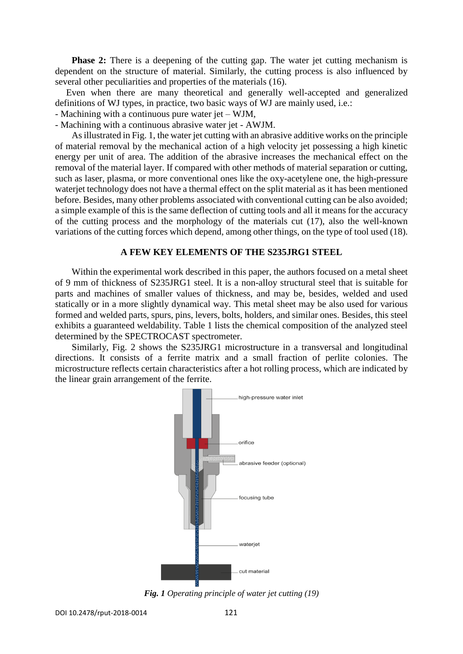**Phase 2:** There is a deepening of the cutting gap. The water jet cutting mechanism is dependent on the structure of material. Similarly, the cutting process is also influenced by several other peculiarities and properties of the materials (16).

Even when there are many theoretical and generally well-accepted and generalized definitions of WJ types, in practice, two basic ways of WJ are mainly used, i.e.:

- Machining with a continuous pure water jet – WJM,

- Machining with a continuous abrasive water jet - AWJM.

As illustrated in Fig. 1, the water jet cutting with an abrasive additive works on the principle of material removal by the mechanical action of a high velocity jet possessing a high kinetic energy per unit of area. The addition of the abrasive increases the mechanical effect on the removal of the material layer. If compared with other methods of material separation or cutting, such as laser, plasma, or more conventional ones like the oxy-acetylene one, the high-pressure waterjet technology does not have a thermal effect on the split material as it has been mentioned before. Besides, many other problems associated with conventional cutting can be also avoided; a simple example of this is the same deflection of cutting tools and all it means for the accuracy of the cutting process and the morphology of the materials cut (17), also the well-known variations of the cutting forces which depend, among other things, on the type of tool used (18).

#### **A FEW KEY ELEMENTS OF THE S235JRG1 STEEL**

Within the experimental work described in this paper, the authors focused on a metal sheet of 9 mm of thickness of S235JRG1 steel. It is a non-alloy structural steel that is suitable for parts and machines of smaller values of thickness, and may be, besides, welded and used statically or in a more slightly dynamical way. This metal sheet may be also used for various formed and welded parts, spurs, pins, levers, bolts, holders, and similar ones. Besides, this steel exhibits a guaranteed weldability. Table 1 lists the chemical composition of the analyzed steel determined by the SPECTROCAST spectrometer.

Similarly, Fig. 2 shows the S235JRG1 microstructure in a transversal and longitudinal directions. It consists of a ferrite matrix and a small fraction of perlite colonies. The microstructure reflects certain characteristics after a hot rolling process, which are indicated by the linear grain arrangement of the ferrite.



*Fig. 1 Operating principle of water jet cutting (19)*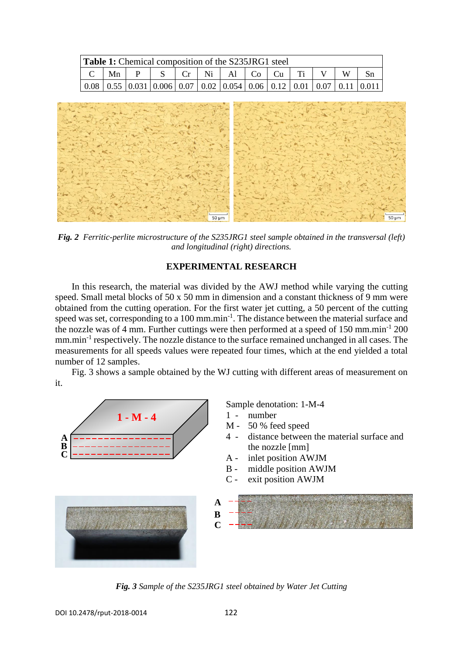| <b>Table 1:</b> Chemical composition of the S235JRG1 steel |    |   |     |  |  |                                    |  |  |  |   |                                                                                                                                                            |
|------------------------------------------------------------|----|---|-----|--|--|------------------------------------|--|--|--|---|------------------------------------------------------------------------------------------------------------------------------------------------------------|
|                                                            | Mn | P | S — |  |  | $ $ Cr $ $ Ni $ $ Al $ $ Co $ $ Cu |  |  |  | W |                                                                                                                                                            |
|                                                            |    |   |     |  |  |                                    |  |  |  |   | $\vert 0.08 \vert 0.55 \vert 0.031 \vert 0.006 \vert 0.07 \vert 0.02 \vert 0.054 \vert 0.06 \vert 0.12 \vert 0.01 \vert 0.07 \vert 0.11 \vert 0.011 \vert$ |



*Fig. 2 Ferritic-perlite microstructure of the S235JRG1 steel sample obtained in the transversal (left) and longitudinal (right) directions.*

### **EXPERIMENTAL RESEARCH**

In this research, the material was divided by the AWJ method while varying the cutting speed. Small metal blocks of 50 x 50 mm in dimension and a constant thickness of 9 mm were obtained from the cutting operation. For the first water jet cutting, a 50 percent of the cutting speed was set, corresponding to a 100 mm.min<sup>-1</sup>. The distance between the material surface and the nozzle was of 4 mm. Further cuttings were then performed at a speed of  $150 \text{ mm.min}^{-1}$  200 mm.min<sup>-1</sup> respectively. The nozzle distance to the surface remained unchanged in all cases. The measurements for all speeds values were repeated four times, which at the end yielded a total number of 12 samples.

Fig. 3 shows a sample obtained by the WJ cutting with different areas of measurement on it.



*Fig. 3 Sample of the S235JRG1 steel obtained by Water Jet Cutting*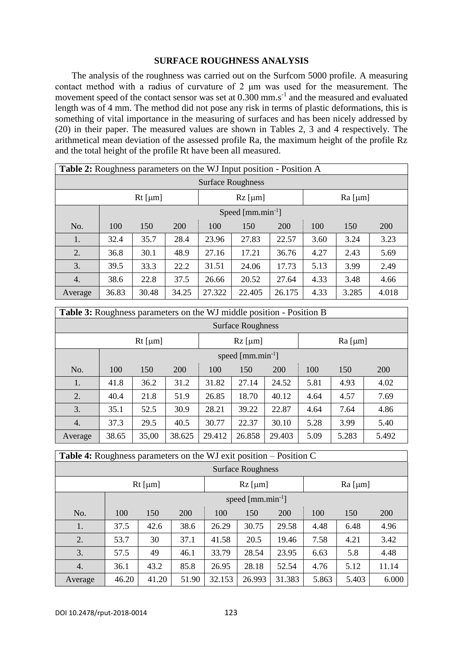### **SURFACE ROUGHNESS ANALYSIS**

The analysis of the roughness was carried out on the Surfcom 5000 profile. A measuring contact method with a radius of curvature of 2 μm was used for the measurement. The movement speed of the contact sensor was set at 0.300 mm.s<sup>-1</sup> and the measured and evaluated length was of 4 mm. The method did not pose any risk in terms of plastic deformations, this is something of vital importance in the measuring of surfaces and has been nicely addressed by (20) in their paper. The measured values are shown in Tables 2, 3 and 4 respectively. The arithmetical mean deviation of the assessed profile Ra, the maximum height of the profile Rz and the total height of the profile Rt have been all measured.

| <b>Table 2:</b> Roughness parameters on the WJ Input position - Position A |                       |                 |       |           |        |        |                 |       |            |
|----------------------------------------------------------------------------|-----------------------|-----------------|-------|-----------|--------|--------|-----------------|-------|------------|
| <b>Surface Roughness</b>                                                   |                       |                 |       |           |        |        |                 |       |            |
|                                                                            |                       | $Rt$ [ $\mu$ m] |       | $Rz$ [µm] |        |        | $Ra$ [ $\mu$ m] |       |            |
|                                                                            | Speed $[mm.min^{-1}]$ |                 |       |           |        |        |                 |       |            |
| No.                                                                        | 100                   | 150             | 200   | 100       | 150    | 200    | 100             | 150   | <b>200</b> |
| 1.                                                                         | 32.4                  | 35.7            | 28.4  | 23.96     | 27.83  | 22.57  | 3.60            | 3.24  | 3.23       |
| 2.                                                                         | 36.8                  | 30.1            | 48.9  | 27.16     | 17.21  | 36.76  | 4.27            | 2.43  | 5.69       |
| 3.                                                                         | 39.5                  | 33.3            | 22.2  | 31.51     | 24.06  | 17.73  | 5.13            | 3.99  | 2.49       |
| 4.                                                                         | 38.6                  | 22.8            | 37.5  | 26.66     | 20.52  | 27.64  | 4.33            | 3.48  | 4.66       |
| Average                                                                    | 36.83                 | 30.48           | 34.25 | 27.322    | 22.405 | 26.175 | 4.33            | 3.285 | 4.018      |

| <b>Table 3:</b> Roughness parameters on the WJ middle position - Position B |                              |                 |        |        |           |        |           |       |            |
|-----------------------------------------------------------------------------|------------------------------|-----------------|--------|--------|-----------|--------|-----------|-------|------------|
| <b>Surface Roughness</b>                                                    |                              |                 |        |        |           |        |           |       |            |
|                                                                             |                              | $Rt$ [ $\mu$ m] |        |        | $Rz$ [µm] |        | $Ra$ [µm] |       |            |
|                                                                             | speed ${\rm [mm. min^{-1}]}$ |                 |        |        |           |        |           |       |            |
| No.                                                                         | 100                          | 150             | 200    | 100    | 150       | 200    | 100       | 150   | <b>200</b> |
| 1.                                                                          | 41.8                         | 36.2            | 31.2   | 31.82  | 27.14     | 24.52  | 5.81      | 4.93  | 4.02       |
| 2.                                                                          | 40.4                         | 21.8            | 51.9   | 26.85  | 18.70     | 40.12  | 4.64      | 4.57  | 7.69       |
| 3.                                                                          | 35.1                         | 52.5            | 30.9   | 28.21  | 39.22     | 22.87  | 4.64      | 7.64  | 4.86       |
| 4.                                                                          | 37.3                         | 29.5            | 40.5   | 30.77  | 22.37     | 30.10  | 5.28      | 3.99  | 5.40       |
| Average                                                                     | 38.65                        | 35,00           | 38.625 | 29.412 | 26.858    | 29.403 | 5.09      | 5.283 | 5.492      |

| <b>Table 4:</b> Roughness parameters on the WJ exit position – Position C |                       |           |            |           |        |            |       |       |            |
|---------------------------------------------------------------------------|-----------------------|-----------|------------|-----------|--------|------------|-------|-------|------------|
| <b>Surface Roughness</b>                                                  |                       |           |            |           |        |            |       |       |            |
|                                                                           |                       | $Rz$ [µm] |            | $Ra$ [µm] |        |            |       |       |            |
|                                                                           | speed $[mm.min^{-1}]$ |           |            |           |        |            |       |       |            |
| No.                                                                       | 100                   | 150       | <b>200</b> | 100       | 150    | <b>200</b> | 100   | 150   | <b>200</b> |
| 1.                                                                        | 37.5                  | 42.6      | 38.6       | 26.29     | 30.75  | 29.58      | 4.48  | 6.48  | 4.96       |
| 2.                                                                        | 53.7                  | 30        | 37.1       | 41.58     | 20.5   | 19.46      | 7.58  | 4.21  | 3.42       |
| 3.                                                                        | 57.5                  | 49        | 46.1       | 33.79     | 28.54  | 23.95      | 6.63  | 5.8   | 4.48       |
| 4.                                                                        | 36.1                  | 43.2      | 85.8       | 26.95     | 28.18  | 52.54      | 4.76  | 5.12  | 11.14      |
| Average                                                                   | 46.20                 | 41.20     | 51.90      | 32.153    | 26.993 | 31.383     | 5.863 | 5.403 | 6.000      |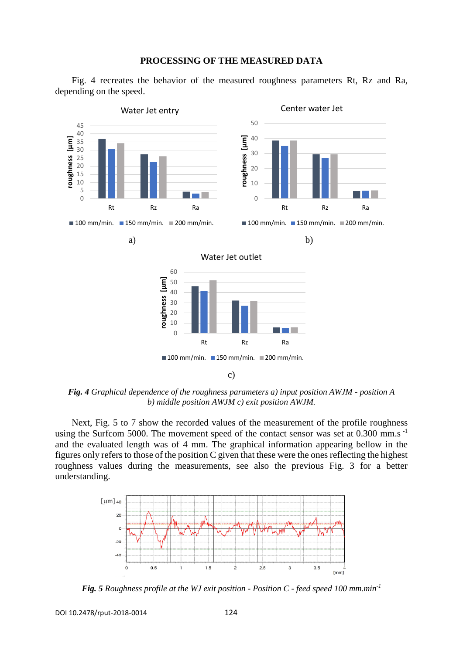

Fig. 4 recreates the behavior of the measured roughness parameters Rt, Rz and Ra, depending on the speed.



*Fig. 4 Graphical dependence of the roughness parameters a) input position AWJM - position A b) middle position AWJM c) exit position AWJM.*

Next, Fig. 5 to 7 show the recorded values of the measurement of the profile roughness using the Surfcom 5000. The movement speed of the contact sensor was set at 0.300 mm.s<sup>-1</sup> and the evaluated length was of 4 mm. The graphical information appearing bellow in the figures only refers to those of the position C given that these were the ones reflecting the highest roughness values during the measurements, see also the previous Fig. 3 for a better understanding.



*Fig. 5 Roughness profile at the WJ exit position - Position C - feed speed 100 mm.min-1*

DOI 10.2478/rput-2018-0014 124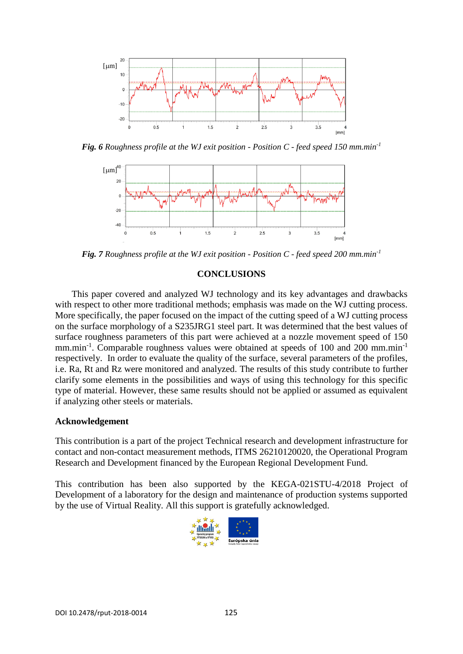

*Fig. 6 Roughness profile at the WJ exit position - Position C - feed speed 150 mm.min-1*



*Fig. 7 Roughness profile at the WJ exit position - Position C - feed speed 200 mm.min-1*

# **CONCLUSIONS**

This paper covered and analyzed WJ technology and its key advantages and drawbacks with respect to other more traditional methods; emphasis was made on the WJ cutting process. More specifically, the paper focused on the impact of the cutting speed of a WJ cutting process on the surface morphology of a S235JRG1 steel part. It was determined that the best values of surface roughness parameters of this part were achieved at a nozzle movement speed of 150 mm.min<sup>-1</sup>. Comparable roughness values were obtained at speeds of 100 and 200 mm.min<sup>-1</sup> respectively. In order to evaluate the quality of the surface, several parameters of the profiles, i.e. Ra, Rt and Rz were monitored and analyzed. The results of this study contribute to further clarify some elements in the possibilities and ways of using this technology for this specific type of material. However, these same results should not be applied or assumed as equivalent if analyzing other steels or materials.

### **Acknowledgement**

This contribution is a part of the project Technical research and development infrastructure for contact and non-contact measurement methods, ITMS 26210120020, the Operational Program Research and Development financed by the European Regional Development Fund.

This contribution has been also supported by the KEGA-021STU-4/2018 Project of Development of a laboratory for the design and maintenance of production systems supported by the use of Virtual Reality. All this support is gratefully acknowledged.